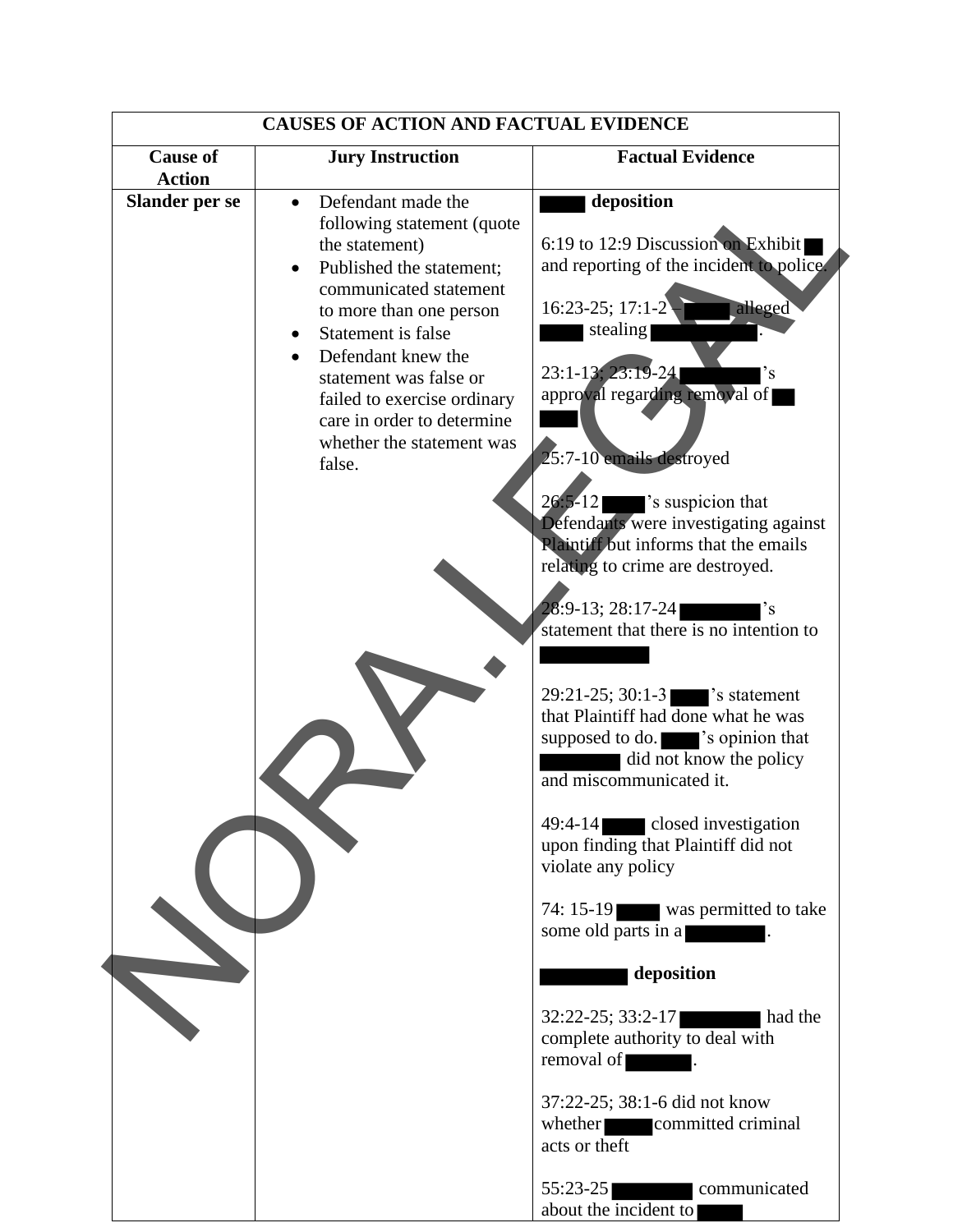| <b>CAUSES OF ACTION AND FACTUAL EVIDENCE</b> |                                                                                                                                                                                                                                                                                                                               |                                                                                                                                                                                                                                                                                                                                                                                                                                                                               |
|----------------------------------------------|-------------------------------------------------------------------------------------------------------------------------------------------------------------------------------------------------------------------------------------------------------------------------------------------------------------------------------|-------------------------------------------------------------------------------------------------------------------------------------------------------------------------------------------------------------------------------------------------------------------------------------------------------------------------------------------------------------------------------------------------------------------------------------------------------------------------------|
| <b>Cause of</b><br><b>Action</b>             | <b>Jury Instruction</b>                                                                                                                                                                                                                                                                                                       | <b>Factual Evidence</b>                                                                                                                                                                                                                                                                                                                                                                                                                                                       |
| <b>Slander per se</b>                        | Defendant made the<br>following statement (quote<br>the statement)<br>Published the statement:<br>communicated statement<br>to more than one person<br>Statement is false<br>Defendant knew the<br>statement was false or<br>failed to exercise ordinary<br>care in order to determine<br>whether the statement was<br>false. | deposition<br>6:19 to 12:9 Discussion on Exhibit<br>and reporting of the incident to police.<br>16:23-25; 17:1-2<br>alleged<br>stealing<br>23:1-13, 23:19-24<br>'s<br>approval regarding removal of<br>25:7-10 emails destroyed<br>'s suspicion that<br>$26:5-12$<br>Defendants were investigating against<br><b>Rlaintiff but informs that the emails</b><br>relating to crime are destroyed.<br>28:9-13; 28:17-24<br>$\degree$ s<br>statement that there is no intention to |
|                                              |                                                                                                                                                                                                                                                                                                                               | $29:21-25$ ; 30:1-3 $\bullet$ s statement<br>that Plaintiff had done what he was<br>supposed to do. sopinion that<br>did not know the policy<br>and miscommunicated it.<br>49:4-14 closed investigation<br>upon finding that Plaintiff did not<br>violate any policy<br>74: 15-19 was permitted to take<br>some old parts in a                                                                                                                                                |
|                                              |                                                                                                                                                                                                                                                                                                                               | deposition<br>32:22-25; 33:2-17<br>had the<br>complete authority to deal with<br>removal of<br>37:22-25; 38:1-6 did not know<br>whether committed criminal<br>acts or theft                                                                                                                                                                                                                                                                                                   |
|                                              |                                                                                                                                                                                                                                                                                                                               | $55:23-25$<br>communicated<br><u> 1999 - Jan Jan Jawa Barat dan Baga</u><br>about the incident to                                                                                                                                                                                                                                                                                                                                                                             |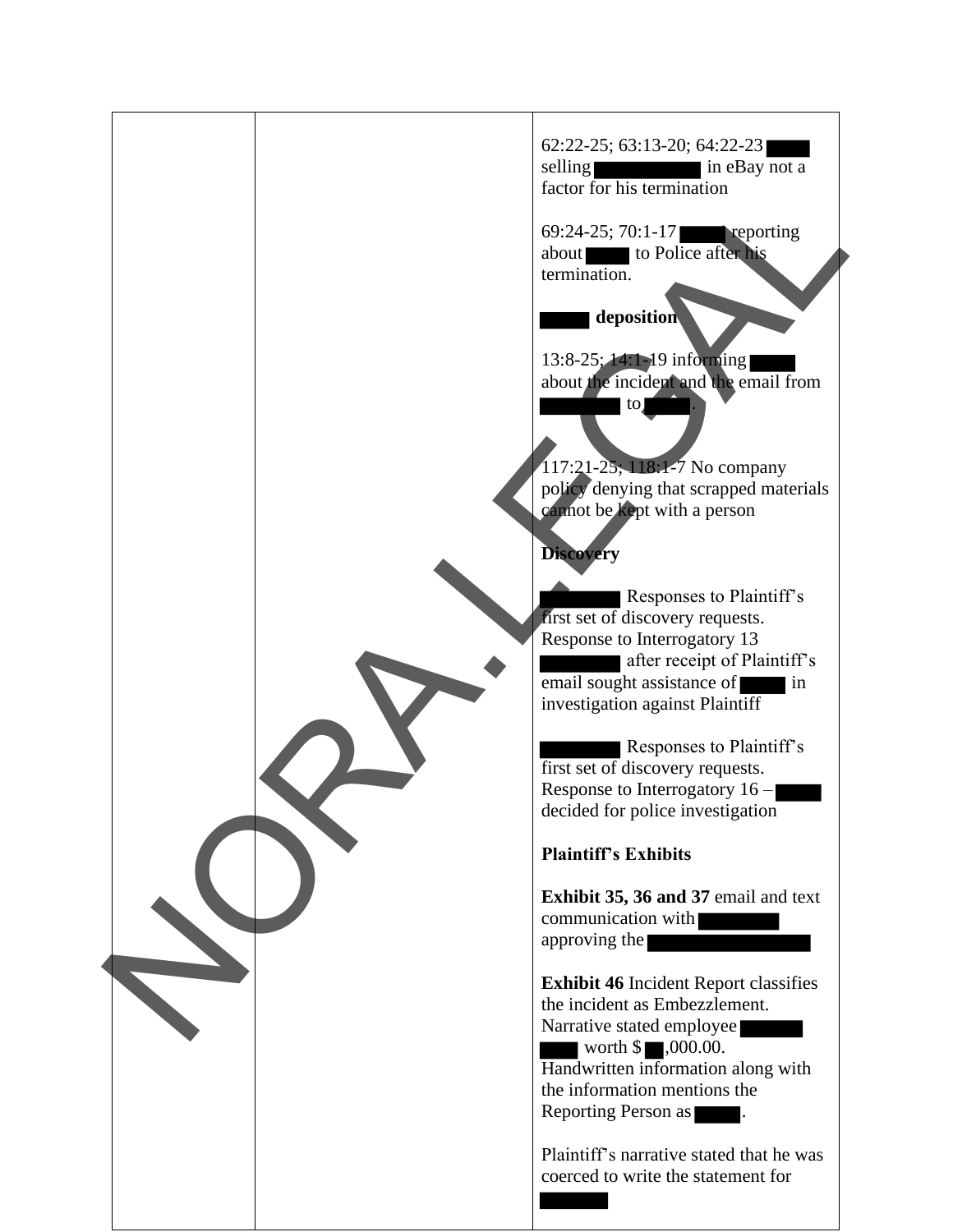62:22-25; 63:13-20; 64:22-23 selling in eBay not a factor for his termination 69:24-25; 70:1-17 reporting about to Police after his termination.  **deposition** 13:8-25; 14:1-19 informing about the incident and the email from  $\bullet$  to 117:21-25; 118:1-7 No company policy denying that scrapped materials cannot be kept with a person **Discovery** Responses to Plaintiff's first set of discovery requests. Response to Interrogatory 13 after receipt of Plaintiff's email sought assistance of in investigation against Plaintiff Responses to Plaintiff's first set of discovery requests. Response to Interrogatory 16 – decided for police investigation **Plaintiff's Exhibits Exhibit 35, 36 and 37** email and text communication with approving the **Exhibit 46** Incident Report classifies the incident as Embezzlement. Narrative stated employee worth  $\$\blacksquare,000.00$ . Handwritten information along with the information mentions the Reporting Person as  $\blacksquare$ . Plaintiff's narrative stated that he was coerced to write the statement for Factor for his termination<br>
second and the contraction<br>
deposition<br>
deposition<br>
136.2.5. The Divisor and Tomation<br>
136.2. The Contraction and Tomation<br>
and Response to Discovery requests.<br>
The September of Buckerston Chara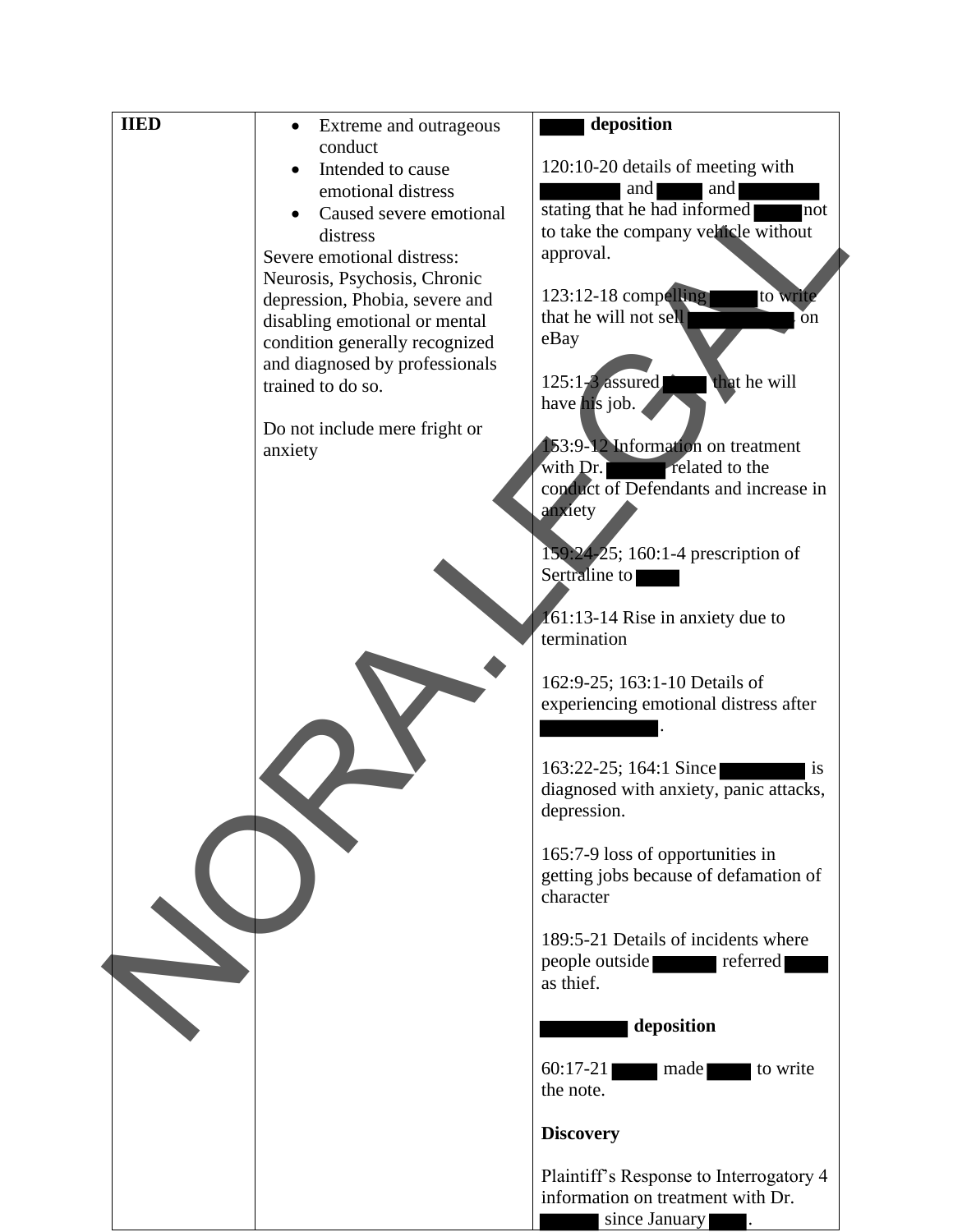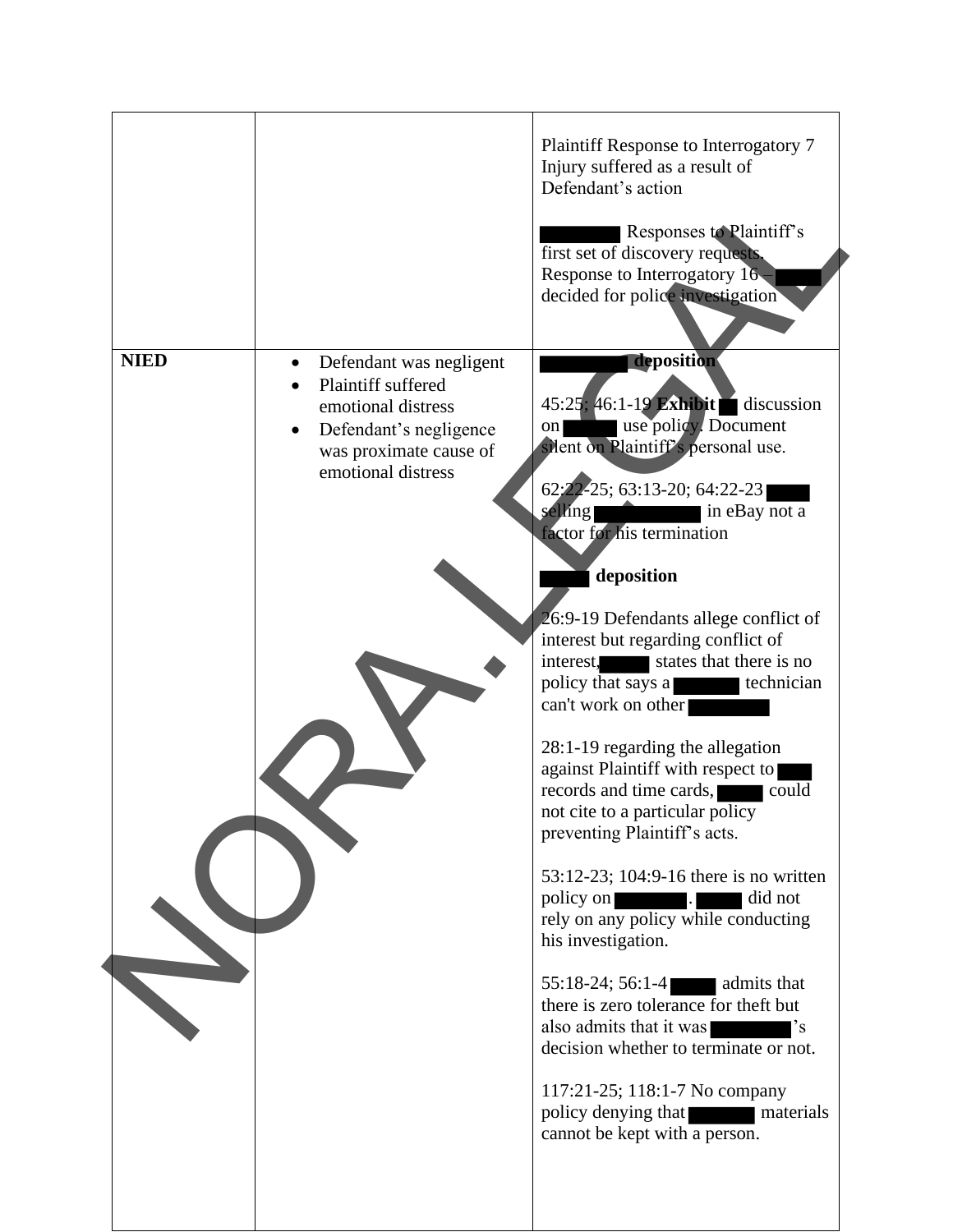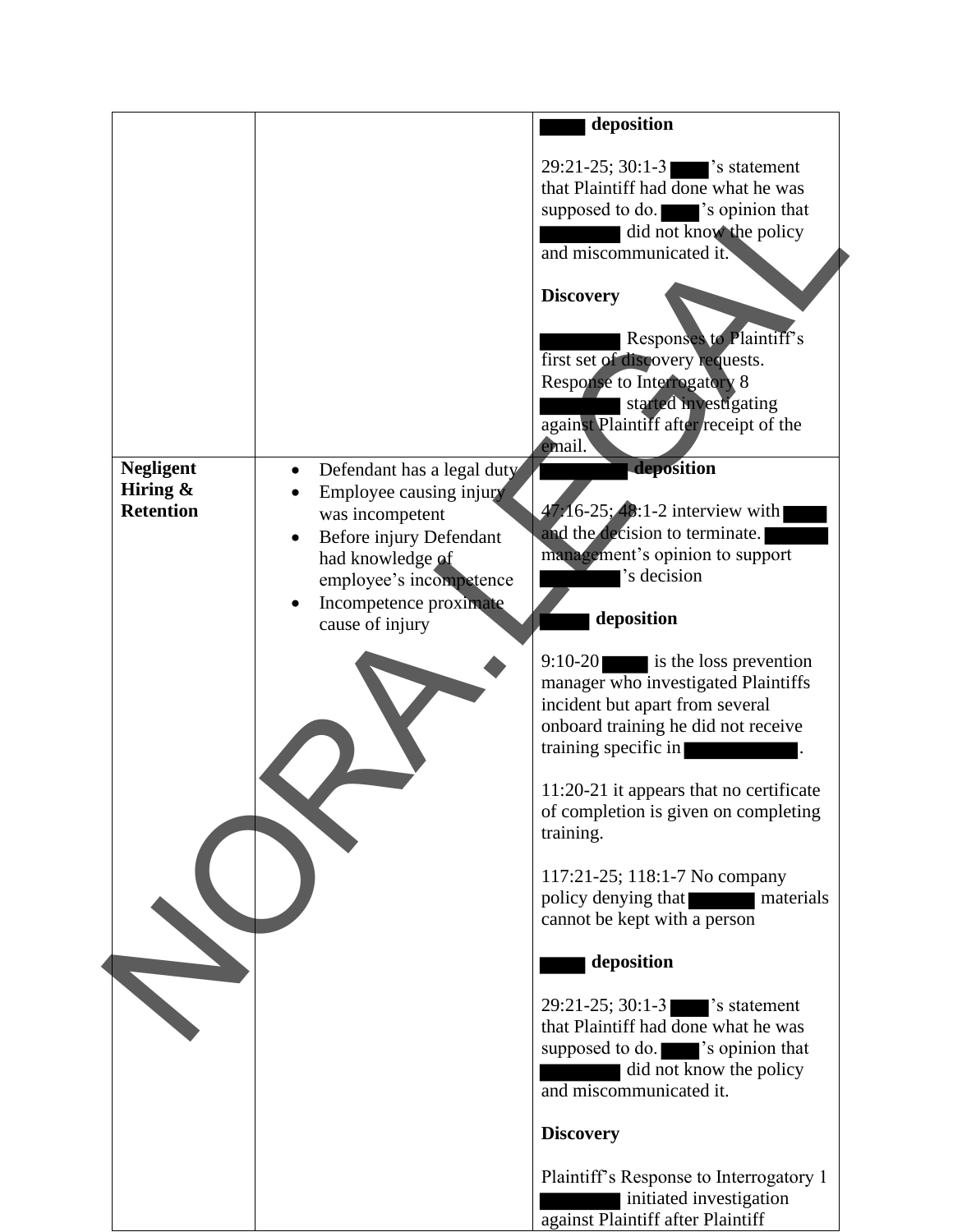|                                                     |                                                                                                                                                                                                              | deposition                                                                                                                                                                                                                                                                                                                                                                                                                                                                                                                                                                                                                                                                                                                                                                                                                                                                                                                                                                                                                                                                                                                                                                                                                             |
|-----------------------------------------------------|--------------------------------------------------------------------------------------------------------------------------------------------------------------------------------------------------------------|----------------------------------------------------------------------------------------------------------------------------------------------------------------------------------------------------------------------------------------------------------------------------------------------------------------------------------------------------------------------------------------------------------------------------------------------------------------------------------------------------------------------------------------------------------------------------------------------------------------------------------------------------------------------------------------------------------------------------------------------------------------------------------------------------------------------------------------------------------------------------------------------------------------------------------------------------------------------------------------------------------------------------------------------------------------------------------------------------------------------------------------------------------------------------------------------------------------------------------------|
| <b>Negligent</b><br>Hiring $\&$<br><b>Retention</b> | Defendant has a legal duty<br>$\bullet$<br>Employee causing injury<br>was incompetent<br>Before injury Defendant<br>had knowledge of<br>employee's incompetence<br>Incompetence proximate<br>cause of injury | $29:21-25$ ; 30:1-3 $\bullet$ s statement<br>that Plaintiff had done what he was<br>supposed to do. spinion that<br>did not know the policy<br>and miscommunicated it.<br><b>Discovery</b><br>Responses to Plaintiff's<br>first set of discovery requests.<br><b>Response to Interrogatory 8</b><br>started investigating<br>against Plaintiff after receipt of the<br>email.<br>deposition<br>$47.16 - 25$ ; 48:1-2 interview with<br>and the decision to terminate.<br>management's opinion to support<br>'s decision<br>deposition<br>$9:10-20$ is the loss prevention<br>manager who investigated Plaintiffs<br>incident but apart from several<br>onboard training he did not receive<br>training specific in<br>11:20-21 it appears that no certificate<br>of completion is given on completing<br>training.<br>117:21-25; 118:1-7 No company<br>policy denying that<br>materials<br>cannot be kept with a person<br>deposition<br>29:21-25; 30:1-31<br>s statement<br>that Plaintiff had done what he was<br>supposed to do. sopinion that<br>did not know the policy<br>and miscommunicated it.<br><b>Discovery</b><br>Plaintiff's Response to Interrogatory 1<br>initiated investigation<br>against Plaintiff after Plaintiff |